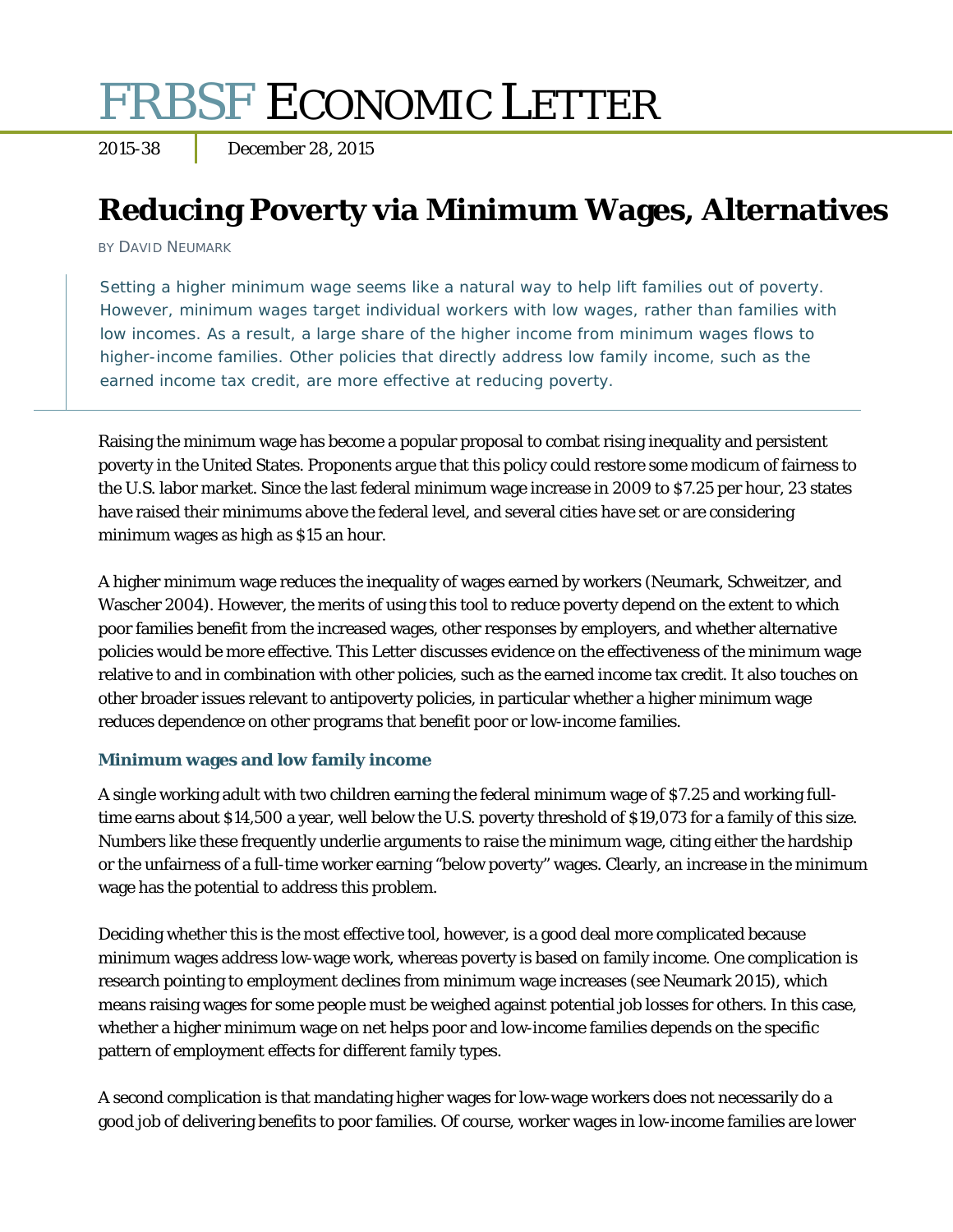# FRBSF ECONOMIC LETTER

2015-38 December 28, 2015

## **Reducing Poverty via Minimum Wages, Alternatives**

BY DAVID NEUMARK

Setting a higher minimum wage seems like a natural way to help lift families out of poverty. However, minimum wages target individual workers with low wages, rather than families with low incomes. As a result, a large share of the higher income from minimum wages flows to higher-income families. Other policies that directly address low family income, such as the earned income tax credit, are more effective at reducing poverty.

Raising the minimum wage has become a popular proposal to combat rising inequality and persistent poverty in the United States. Proponents argue that this policy could restore some modicum of fairness to the U.S. labor market. Since the last federal minimum wage increase in 2009 to \$7.25 per hour, 23 states have raised their minimums above the federal level, and several cities have set or are considering minimum wages as high as \$15 an hour.

A higher minimum wage reduces the inequality of wages earned by workers (Neumark, Schweitzer, and Wascher 2004). However, the merits of using this tool to reduce poverty depend on the extent to which poor families benefit from the increased wages, other responses by employers, and whether alternative policies would be more effective. This *Letter* discusses evidence on the effectiveness of the minimum wage relative to and in combination with other policies, such as the earned income tax credit. It also touches on other broader issues relevant to antipoverty policies, in particular whether a higher minimum wage reduces dependence on other programs that benefit poor or low-income families.

#### **Minimum wages and low family income**

A single working adult with two children earning the federal minimum wage of \$7.25 and working fulltime earns about \$14,500 a year, well below the U.S. poverty threshold of \$19,073 for a family of this size. Numbers like these frequently underlie arguments to raise the minimum wage, citing either the hardship or the unfairness of a full-time worker earning "below poverty" wages. Clearly, an increase in the minimum wage has the potential to address this problem.

Deciding whether this is the most effective tool, however, is a good deal more complicated because minimum wages address low-wage work, whereas poverty is based on family income. One complication is research pointing to employment declines from minimum wage increases (see Neumark 2015), which means raising wages for some people must be weighed against potential job losses for others. In this case, whether a higher minimum wage on net helps poor and low-income families depends on the specific pattern of employment effects for different family types.

A second complication is that mandating higher wages for low-wage workers does not necessarily do a good job of delivering benefits to poor families. Of course, worker wages in low-income families are lower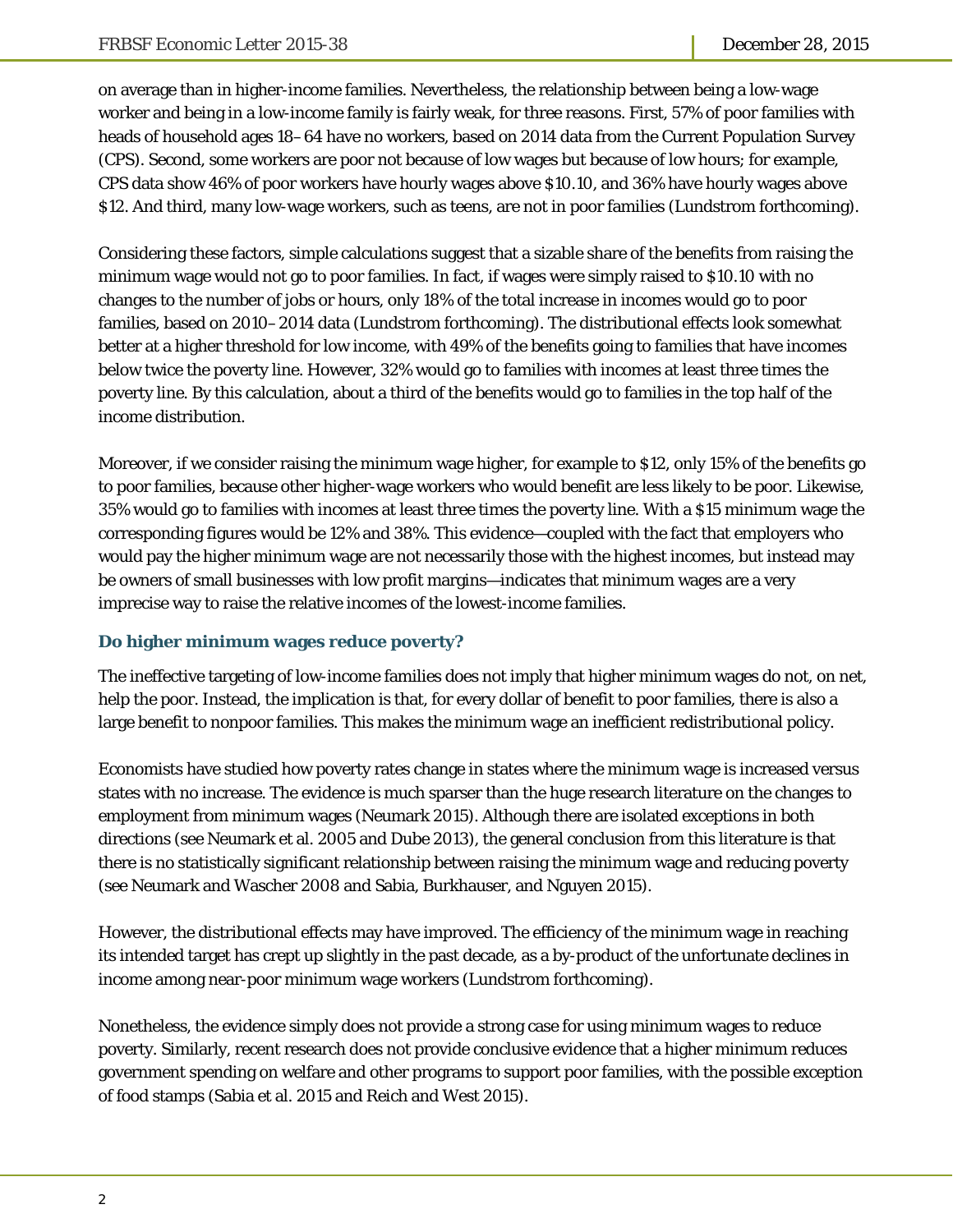on average than in higher-income families. Nevertheless, the relationship between being a low-wage worker and being in a low-income family is fairly weak, for three reasons. First, 57% of poor families with heads of household ages 18–64 have no workers, based on 2014 data from the Current Population Survey (CPS). Second, some workers are poor not because of low wages but because of low hours; for example, CPS data show 46% of poor workers have hourly wages above \$10.10, and 36% have hourly wages above \$12. And third, many low-wage workers, such as teens, are not in poor families (Lundstrom forthcoming).

Considering these factors, simple calculations suggest that a sizable share of the benefits from raising the minimum wage would not go to poor families. In fact, if wages were simply raised to \$10.10 with no changes to the number of jobs or hours, only 18% of the total increase in incomes would go to poor families, based on 2010–2014 data (Lundstrom forthcoming). The distributional effects look somewhat better at a higher threshold for low income, with 49% of the benefits going to families that have incomes below twice the poverty line. However, 32% would go to families with incomes at least three times the poverty line. By this calculation, about a third of the benefits would go to families in the top half of the income distribution.

Moreover, if we consider raising the minimum wage higher, for example to \$12, only 15% of the benefits go to poor families, because other higher-wage workers who would benefit are less likely to be poor. Likewise, 35% would go to families with incomes at least three times the poverty line. With a \$15 minimum wage the corresponding figures would be 12% and 38%. This evidence—coupled with the fact that employers who would pay the higher minimum wage are not necessarily those with the highest incomes, but instead may be owners of small businesses with low profit margins—indicates that minimum wages are a very imprecise way to raise the relative incomes of the lowest-income families.

#### **Do higher minimum wages reduce poverty?**

The ineffective targeting of low-income families does not imply that higher minimum wages do not, on net, help the poor. Instead, the implication is that, for every dollar of benefit to poor families, there is also a large benefit to nonpoor families. This makes the minimum wage an inefficient redistributional policy.

Economists have studied how poverty rates change in states where the minimum wage is increased versus states with no increase. The evidence is much sparser than the huge research literature on the changes to employment from minimum wages (Neumark 2015). Although there are isolated exceptions in both directions (see Neumark et al. 2005 and Dube 2013), the general conclusion from this literature is that there is no statistically significant relationship between raising the minimum wage and reducing poverty (see Neumark and Wascher 2008 and Sabia, Burkhauser, and Nguyen 2015).

However, the distributional effects may have improved. The efficiency of the minimum wage in reaching its intended target has crept up slightly in the past decade, as a by-product of the unfortunate declines in income among near-poor minimum wage workers (Lundstrom forthcoming).

Nonetheless, the evidence simply does not provide a strong case for using minimum wages to reduce poverty. Similarly, recent research does not provide conclusive evidence that a higher minimum reduces government spending on welfare and other programs to support poor families, with the possible exception of food stamps (Sabia et al. 2015 and Reich and West 2015).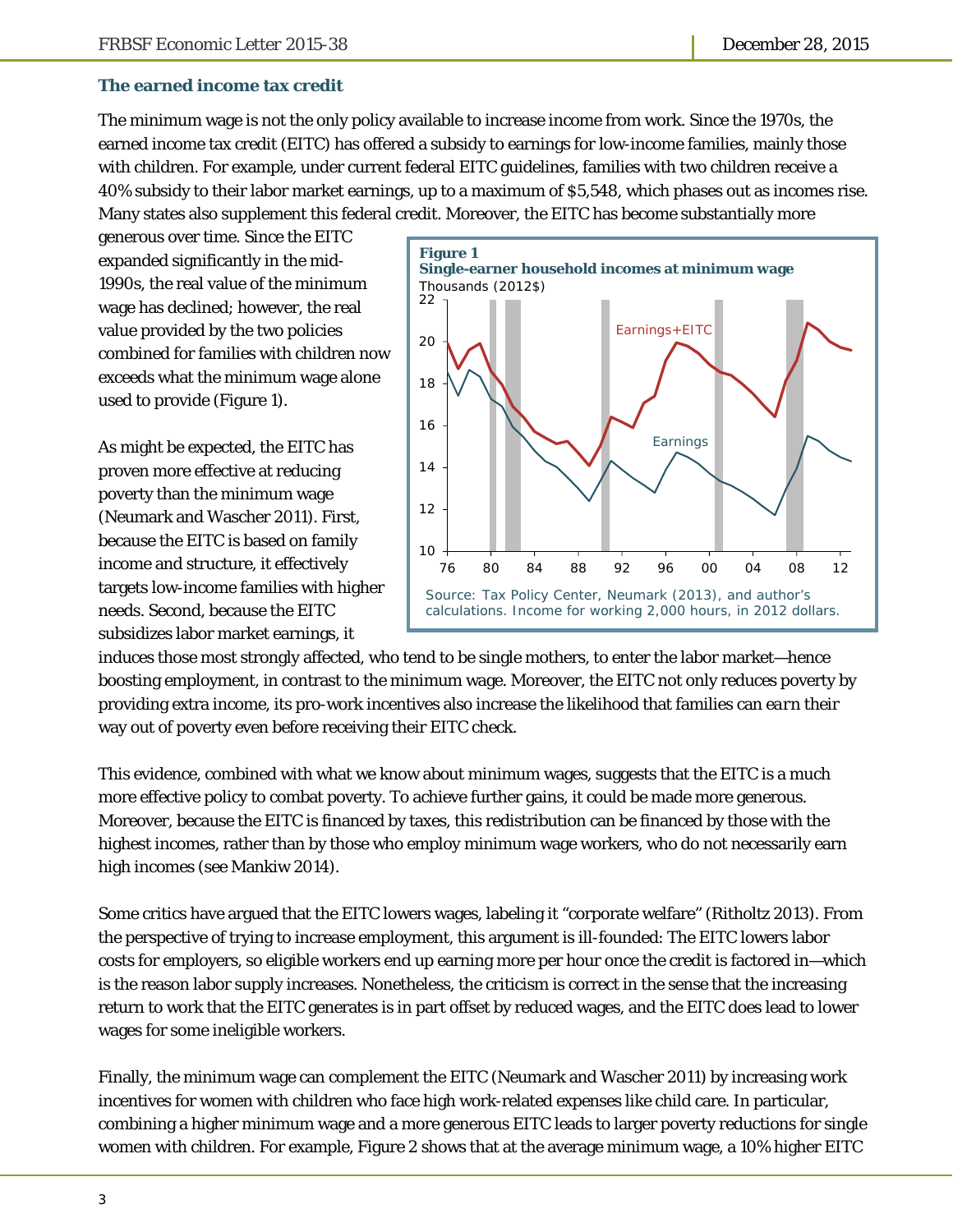#### **The earned income tax credit**

The minimum wage is not the only policy available to increase income from work. Since the 1970s, the earned income tax credit (EITC) has offered a subsidy to earnings for low-income families, mainly those with children. For example, under current federal EITC guidelines, families with two children receive a 40% subsidy to their labor market earnings, up to a maximum of \$5,548, which phases out as incomes rise. Many states also supplement this federal credit. Moreover, the EITC has become substantially more

generous over time. Since the EITC expanded significantly in the mid-1990s, the real value of the minimum wage has declined; however, the real value provided by the two policies combined for families with children now exceeds what the minimum wage alone used to provide (Figure 1).

As might be expected, the EITC has proven more effective at reducing poverty than the minimum wage (Neumark and Wascher 2011). First, because the EITC is based on family income and structure, it effectively targets low-income families with higher needs. Second, because the EITC subsidizes labor market earnings, it



induces those most strongly affected, who tend to be single mothers, to enter the labor market—hence boosting employment, in contrast to the minimum wage. Moreover, the EITC not only reduces poverty by providing extra income, its pro-work incentives also increase the likelihood that families can *earn* their way out of poverty even before receiving their EITC check.

This evidence, combined with what we know about minimum wages, suggests that the EITC is a much more effective policy to combat poverty. To achieve further gains, it could be made more generous. Moreover, because the EITC is financed by taxes, this redistribution can be financed by those with the highest incomes, rather than by those who employ minimum wage workers, who do not necessarily earn high incomes (see Mankiw 2014).

Some critics have argued that the EITC lowers wages, labeling it "corporate welfare" (Ritholtz 2013). From the perspective of trying to increase employment, this argument is ill-founded: The EITC lowers labor costs for employers, so eligible workers end up earning more per hour once the credit is factored in—which is the reason labor supply increases. Nonetheless, the criticism is correct in the sense that the increasing return to work that the EITC generates is in part offset by reduced wages, and the EITC does lead to lower wages for some ineligible workers.

Finally, the minimum wage can complement the EITC (Neumark and Wascher 2011) by increasing work incentives for women with children who face high work-related expenses like child care. In particular, combining a higher minimum wage and a more generous EITC leads to larger poverty reductions for single women with children. For example, Figure 2 shows that at the average minimum wage, a 10% higher EITC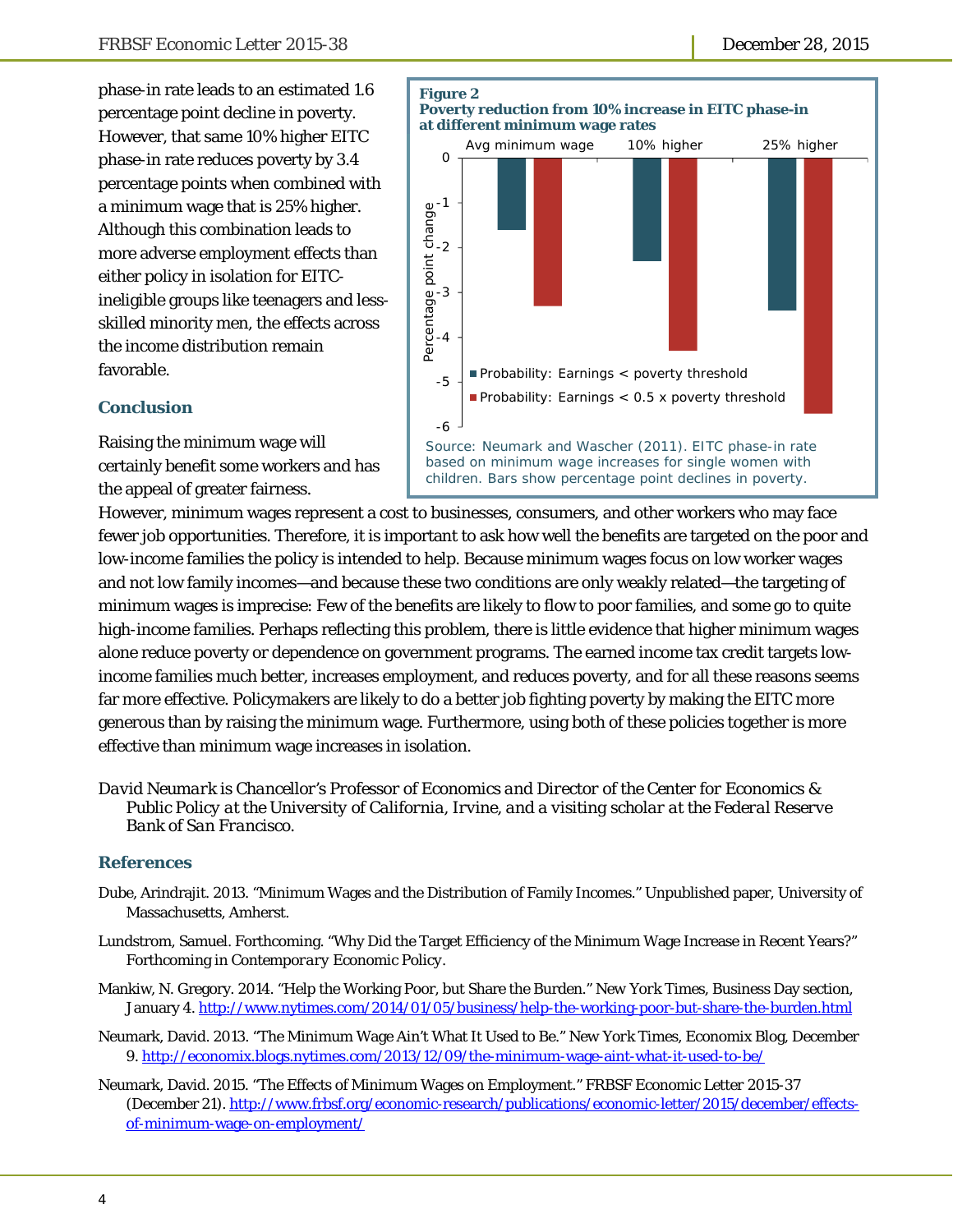phase-in rate leads to an estimated 1.6 percentage point decline in poverty. However, that same 10% higher EITC phase-in rate reduces poverty by 3.4 percentage points when combined with a minimum wage that is 25% higher. Although this combination leads to more adverse employment effects than either policy in isolation for EITCineligible groups like teenagers and lessskilled minority men, the effects across the income distribution remain favorable.



### **Conclusion**

Raising the minimum wage will certainly benefit some workers and has the appeal of greater fairness.

However, minimum wages represent a cost to businesses, consumers, and other workers who may face fewer job opportunities. Therefore, it is important to ask how well the benefits are targeted on the poor and low-income families the policy is intended to help. Because minimum wages focus on low worker wages and not low family incomes—and because these two conditions are only weakly related—the targeting of minimum wages is imprecise: Few of the benefits are likely to flow to poor families, and some go to quite high-income families. Perhaps reflecting this problem, there is little evidence that higher minimum wages alone reduce poverty or dependence on government programs. The earned income tax credit targets lowincome families much better, increases employment, and reduces poverty, and for all these reasons seems far more effective. Policymakers are likely to do a better job fighting poverty by making the EITC more generous than by raising the minimum wage. Furthermore, using both of these policies together is more effective than minimum wage increases in isolation.

*David Neumark is Chancellor's Professor of Economics and Director of the Center for Economics & Public Policy at the University of California, Irvine, and a visiting scholar at the Federal Reserve Bank of San Francisco.* 

#### **References**

- Dube, Arindrajit. 2013. "Minimum Wages and the Distribution of Family Incomes." Unpublished paper, University of Massachusetts, Amherst.
- Lundstrom, Samuel. Forthcoming. "Why Did the Target Efficiency of the Minimum Wage Increase in Recent Years?" Forthcoming in *Contemporary Economic Policy*.
- Mankiw, N. Gregory. 2014. "Help the Working Poor, but Share the Burden." *New York Times*, Business Day section, January 4. http://www.nytimes.com/2014/01/05/business/help-the-working-poor-but-share-the-burden.html
- Neumark, David. 2013. "The Minimum Wage Ain't What It Used to Be." *New York Times*, Economix Blog, December 9. http://economix.blogs.nytimes.com/2013/12/09/the-minimum-wage-aint-what-it-used-to-be/
- Neumark, David. 2015. "The Effects of Minimum Wages on Employment." *FRBSF Economic Letter* 2015-37 (December 21). http://www.frbsf.org/economic-research/publications/economic-letter/2015/december/effectsof-minimum-wage-on-employment/